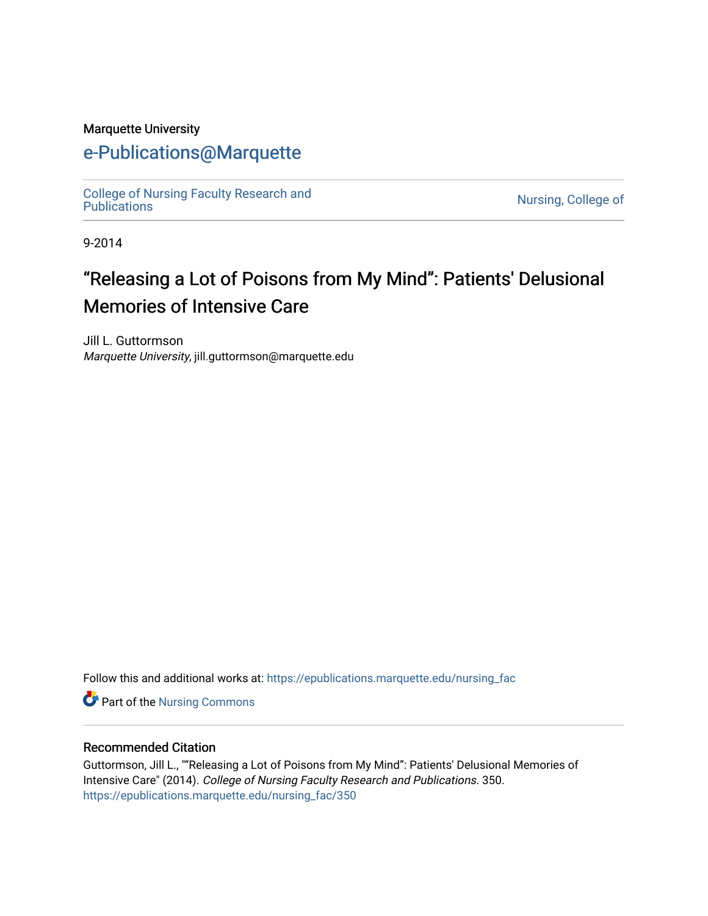#### Marquette University

# [e-Publications@Marquette](https://epublications.marquette.edu/)

[College of Nursing Faculty Research and](https://epublications.marquette.edu/nursing_fac)<br>Publications

Nursing, College of

9-2014

# "Releasing a Lot of Poisons from My Mind": Patients' Delusional Memories of Intensive Care

Jill L. Guttormson Marquette University, jill.guttormson@marquette.edu

Follow this and additional works at: [https://epublications.marquette.edu/nursing\\_fac](https://epublications.marquette.edu/nursing_fac?utm_source=epublications.marquette.edu%2Fnursing_fac%2F350&utm_medium=PDF&utm_campaign=PDFCoverPages)

**Part of the Nursing Commons** 

#### Recommended Citation

Guttormson, Jill L., ""Releasing a Lot of Poisons from My Mind": Patients' Delusional Memories of Intensive Care" (2014). College of Nursing Faculty Research and Publications. 350. [https://epublications.marquette.edu/nursing\\_fac/350](https://epublications.marquette.edu/nursing_fac/350?utm_source=epublications.marquette.edu%2Fnursing_fac%2F350&utm_medium=PDF&utm_campaign=PDFCoverPages)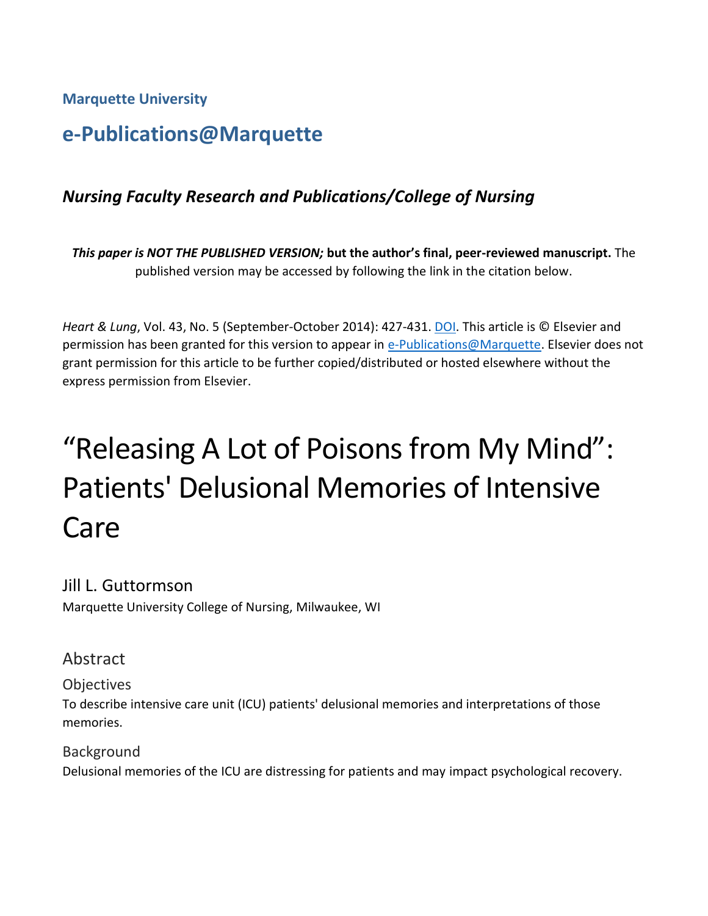**Marquette University**

# **e-Publications@Marquette**

# *Nursing Faculty Research and Publications/College of Nursing*

*This paper is NOT THE PUBLISHED VERSION;* **but the author's final, peer-reviewed manuscript.** The published version may be accessed by following the link in the citation below.

*Heart & Lung*, Vol. 43, No. 5 (September-October 2014): 427-431. [DOI.](https://doi.org/10.1016/j.hrtlng.2014.04.007) This article is © Elsevier and permission has been granted for this version to appear in [e-Publications@Marquette.](http://epublications.marquette.edu/) Elsevier does not grant permission for this article to be further copied/distributed or hosted elsewhere without the express permission from Elsevier.

# "Releasing A Lot of Poisons from My Mind": Patients' Delusional Memories of Intensive **Care**

#### Jill L. Guttormson

Marquette University College of Nursing, Milwaukee, WI

### Abstract

**Objectives** 

To describe intensive care unit (ICU) patients' delusional memories and interpretations of those memories.

Background Delusional memories of the ICU are distressing for patients and may impact psychological recovery.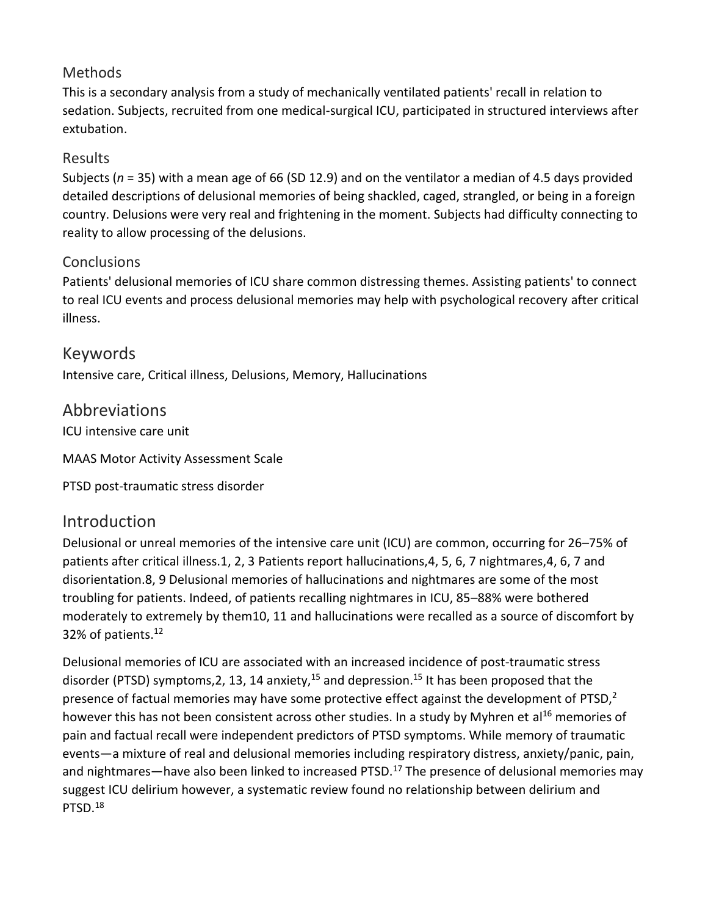#### **Methods**

This is a secondary analysis from a study of mechanically ventilated patients' recall in relation to sedation. Subjects, recruited from one medical-surgical ICU, participated in structured interviews after extubation.

#### Results

Subjects (*n* = 35) with a mean age of 66 (SD 12.9) and on the ventilator a median of 4.5 days provided detailed descriptions of delusional memories of being shackled, caged, strangled, or being in a foreign country. Delusions were very real and frightening in the moment. Subjects had difficulty connecting to reality to allow processing of the delusions.

#### **Conclusions**

Patients' delusional memories of ICU share common distressing themes. Assisting patients' to connect to real ICU events and process delusional memories may help with psychological recovery after critical illness.

Keywords Intensive care, Critical illness, Delusions, Memory, Hallucinations

## Abbreviations

ICU intensive care unit

MAAS Motor Activity Assessment Scale

PTSD post-traumatic stress disorder

# Introduction

Delusional or unreal memories of the intensive care unit (ICU) are common, occurring for 26–75% of patients after critical illness.1, 2, 3 Patients report hallucinations,4, 5, 6, 7 nightmares,4, 6, 7 and disorientation.8, 9 Delusional memories of hallucinations and nightmares are some of the most troubling for patients. Indeed, of patients recalling nightmares in ICU, 85–88% were bothered moderately to extremely by them10, 11 and hallucinations were recalled as a source of discomfort by 32% of patients.<sup>12</sup>

Delusional memories of ICU are associated with an increased incidence of post-traumatic stress disorder (PTSD) symptoms, 2, 13, 14 anxiety,  $15$  and depression.  $15$  It has been proposed that the presence of factual memories may have some protective effect against the development of PTSD,<sup>2</sup> however this has not been consistent across other studies. In a study by Myhren et al<sup>16</sup> memories of pain and factual recall were independent predictors of PTSD symptoms. While memory of traumatic events—a mixture of real and delusional memories including respiratory distress, anxiety/panic, pain, and nightmares—have also been linked to increased PTSD.<sup>17</sup> The presence of delusional memories may suggest ICU delirium however, a systematic review found no relationship between delirium and PTSD.18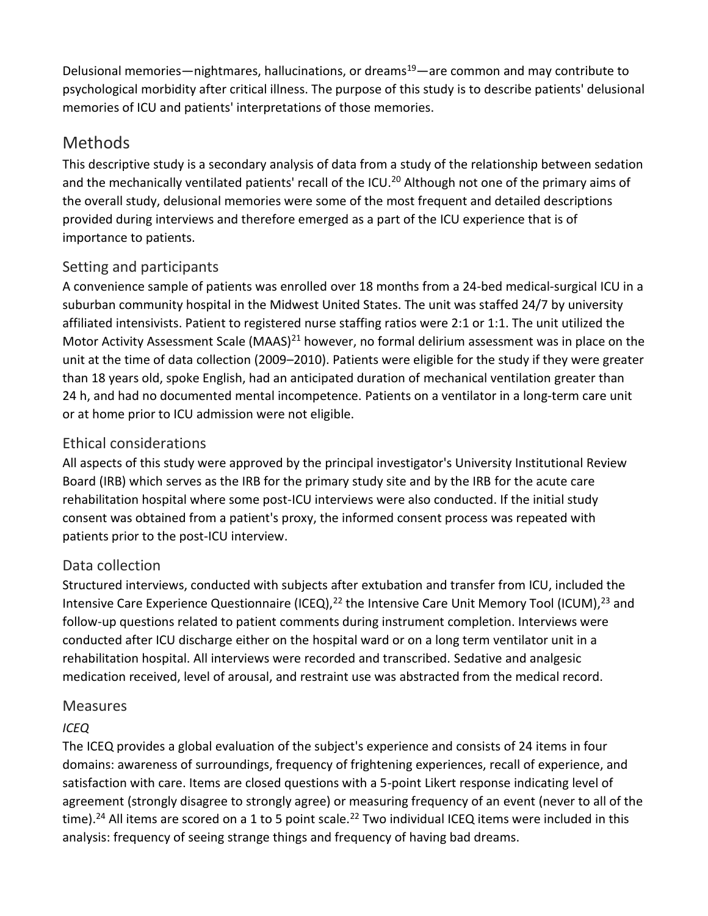Delusional memories—nightmares, hallucinations, or dreams<sup>19</sup>—are common and may contribute to psychological morbidity after critical illness. The purpose of this study is to describe patients' delusional memories of ICU and patients' interpretations of those memories.

# **Methods**

This descriptive study is a secondary analysis of data from a study of the relationship between sedation and the mechanically ventilated patients' recall of the ICU.<sup>20</sup> Although not one of the primary aims of the overall study, delusional memories were some of the most frequent and detailed descriptions provided during interviews and therefore emerged as a part of the ICU experience that is of importance to patients.

#### Setting and participants

A convenience sample of patients was enrolled over 18 months from a 24-bed medical-surgical ICU in a suburban community hospital in the Midwest United States. The unit was staffed 24/7 by university affiliated intensivists. Patient to registered nurse staffing ratios were 2:1 or 1:1. The unit utilized the Motor Activity Assessment Scale (MAAS)<sup>21</sup> however, no formal delirium assessment was in place on the unit at the time of data collection (2009–2010). Patients were eligible for the study if they were greater than 18 years old, spoke English, had an anticipated duration of mechanical ventilation greater than 24 h, and had no documented mental incompetence. Patients on a ventilator in a long-term care unit or at home prior to ICU admission were not eligible.

#### Ethical considerations

All aspects of this study were approved by the principal investigator's University Institutional Review Board (IRB) which serves as the IRB for the primary study site and by the IRB for the acute care rehabilitation hospital where some post-ICU interviews were also conducted. If the initial study consent was obtained from a patient's proxy, the informed consent process was repeated with patients prior to the post-ICU interview.

### Data collection

Structured interviews, conducted with subjects after extubation and transfer from ICU, included the Intensive Care Experience Questionnaire (ICEQ),  $^{22}$  the Intensive Care Unit Memory Tool (ICUM),  $^{23}$  and follow-up questions related to patient comments during instrument completion. Interviews were conducted after ICU discharge either on the hospital ward or on a long term ventilator unit in a rehabilitation hospital. All interviews were recorded and transcribed. Sedative and analgesic medication received, level of arousal, and restraint use was abstracted from the medical record.

#### Measures

#### *ICEQ*

The ICEQ provides a global evaluation of the subject's experience and consists of 24 items in four domains: awareness of surroundings, frequency of frightening experiences, recall of experience, and satisfaction with care. Items are closed questions with a 5-point Likert response indicating level of agreement (strongly disagree to strongly agree) or measuring frequency of an event (never to all of the time).<sup>24</sup> All items are scored on a 1 to 5 point scale.<sup>22</sup> Two individual ICEQ items were included in this analysis: frequency of seeing strange things and frequency of having bad dreams.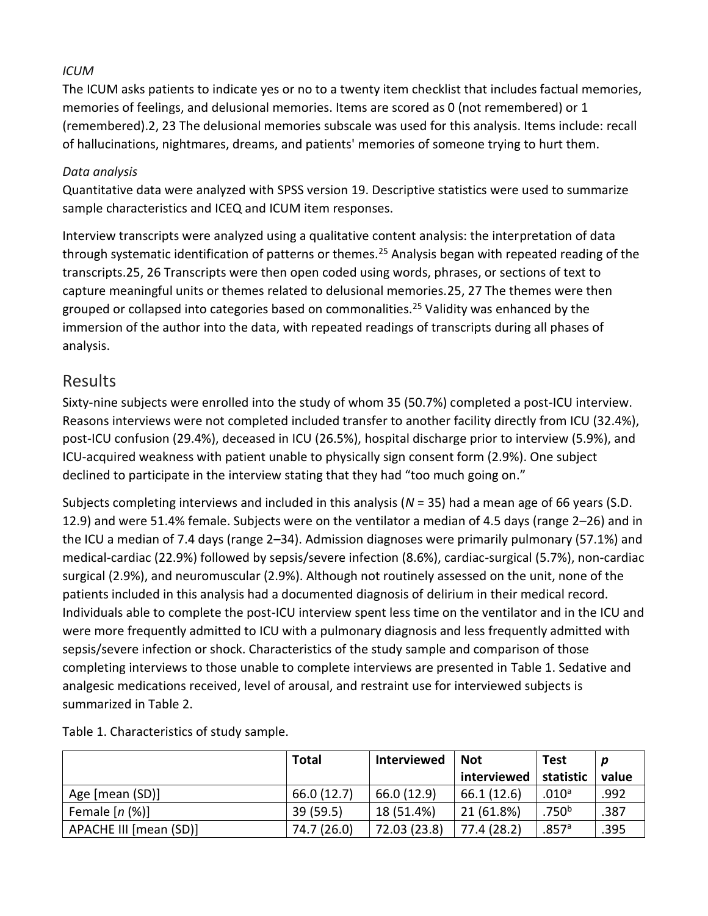#### *ICUM*

The ICUM asks patients to indicate yes or no to a twenty item checklist that includes factual memories, memories of feelings, and delusional memories. Items are scored as 0 (not remembered) or 1 (remembered).2, 23 The delusional memories subscale was used for this analysis. Items include: recall of hallucinations, nightmares, dreams, and patients' memories of someone trying to hurt them.

#### *Data analysis*

Quantitative data were analyzed with SPSS version 19. Descriptive statistics were used to summarize sample characteristics and ICEQ and ICUM item responses.

Interview transcripts were analyzed using a qualitative content analysis: the interpretation of data through systematic identification of patterns or themes.<sup>25</sup> Analysis began with repeated reading of the transcripts.25, 26 Transcripts were then open coded using words, phrases, or sections of text to capture meaningful units or themes related to delusional memories.25, 27 The themes were then grouped or collapsed into categories based on commonalities.<sup>25</sup> Validity was enhanced by the immersion of the author into the data, with repeated readings of transcripts during all phases of analysis.

#### Results

Sixty-nine subjects were enrolled into the study of whom 35 (50.7%) completed a post-ICU interview. Reasons interviews were not completed included transfer to another facility directly from ICU (32.4%), post-ICU confusion (29.4%), deceased in ICU (26.5%), hospital discharge prior to interview (5.9%), and ICU-acquired weakness with patient unable to physically sign consent form (2.9%). One subject declined to participate in the interview stating that they had "too much going on."

Subjects completing interviews and included in this analysis (*N* = 35) had a mean age of 66 years (S.D. 12.9) and were 51.4% female. Subjects were on the ventilator a median of 4.5 days (range 2–26) and in the ICU a median of 7.4 days (range 2–34). Admission diagnoses were primarily pulmonary (57.1%) and medical-cardiac (22.9%) followed by sepsis/severe infection (8.6%), cardiac-surgical (5.7%), non-cardiac surgical (2.9%), and neuromuscular (2.9%). Although not routinely assessed on the unit, none of the patients included in this analysis had a documented diagnosis of delirium in their medical record. Individuals able to complete the post-ICU interview spent less time on the ventilator and in the ICU and were more frequently admitted to ICU with a pulmonary diagnosis and less frequently admitted with sepsis/severe infection or shock. Characteristics of the study sample and comparison of those completing interviews to those unable to complete interviews are presented in Table 1. Sedative and analgesic medications received, level of arousal, and restraint use for interviewed subjects is summarized in Table 2.

|                        | Total       | Interviewed  | <b>Not</b>  | <b>Test</b>       |       |
|------------------------|-------------|--------------|-------------|-------------------|-------|
|                        |             |              | interviewed | statistic         | value |
| Age [mean (SD)]        | 66.0 (12.7) | 66.0 (12.9)  | 66.1 (12.6) | .010 <sup>a</sup> | .992  |
| Female $[n (%)]$       | 39(59.5)    | 18 (51.4%)   | 21 (61.8%)  | .750 <sup>b</sup> | .387  |
| APACHE III [mean (SD)] | 74.7 (26.0) | 72.03 (23.8) | 77.4 (28.2) | .857a             | .395  |

Table 1. Characteristics of study sample.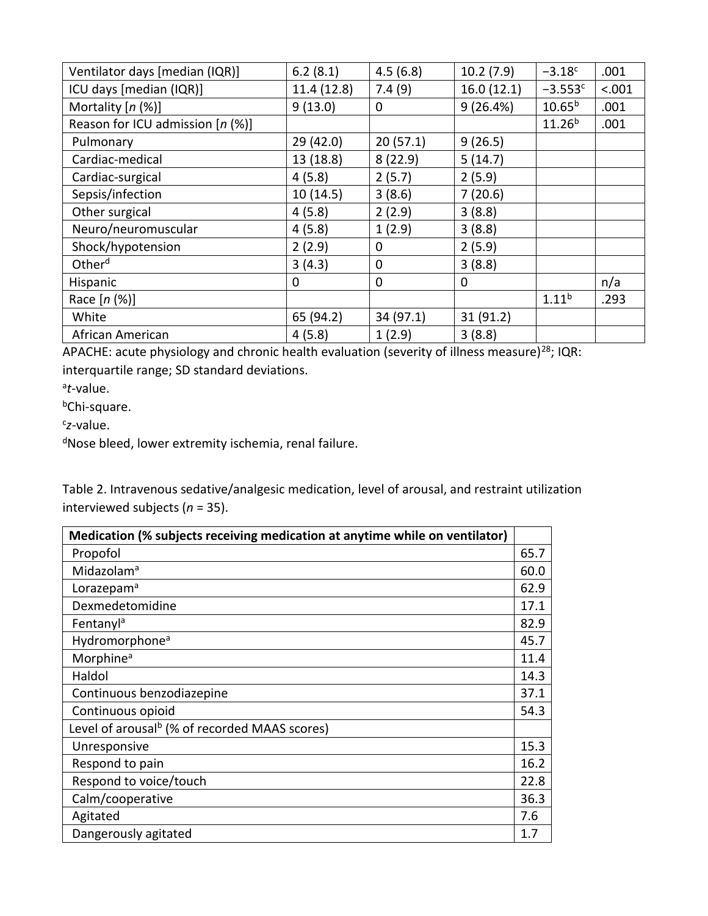| Ventilator days [median (IQR)]   | 6.2(8.1)    | 4.5(6.8)    | 10.2(7.9)  | $-3.18c$          | .001   |
|----------------------------------|-------------|-------------|------------|-------------------|--------|
| ICU days [median (IQR)]          | 11.4 (12.8) | 7.4(9)      | 16.0(12.1) | $-3.553c$         | < .001 |
| Mortality $[n (%)]$              | 9(13.0)     | 0           | 9(26.4%)   | $10.65^{b}$       | .001   |
| Reason for ICU admission [n (%)] |             |             |            | $11.26^{b}$       | .001   |
| Pulmonary                        | 29(42.0)    | 20(57.1)    | 9(26.5)    |                   |        |
| Cardiac-medical                  | 13 (18.8)   | 8(22.9)     | 5(14.7)    |                   |        |
| Cardiac-surgical                 | 4(5.8)      | 2(5.7)      | 2(5.9)     |                   |        |
| Sepsis/infection                 | 10(14.5)    | 3(8.6)      | 7(20.6)    |                   |        |
| Other surgical                   | 4(5.8)      | 2(2.9)      | 3(8.8)     |                   |        |
| Neuro/neuromuscular              | 4(5.8)      | 1(2.9)      | 3(8.8)     |                   |        |
| Shock/hypotension                | 2(2.9)      | 0           | 2(5.9)     |                   |        |
| Other <sup>d</sup>               | 3(4.3)      | $\mathbf 0$ | 3(8.8)     |                   |        |
| Hispanic                         | 0           | 0           | 0          |                   | n/a    |
| Race $[n (%)]$                   |             |             |            | 1.11 <sup>b</sup> | .293   |
| White                            | 65 (94.2)   | 34 (97.1)   | 31 (91.2)  |                   |        |
| African American                 | 4(5.8)      | 1(2.9)      | 3(8.8)     |                   |        |

APACHE: acute physiology and chronic health evaluation (severity of illness measure)<sup>28</sup>; IQR: interquartile range; SD standard deviations.

a *t*-value.

bChi-square.

c *z*-value.

dNose bleed, lower extremity ischemia, renal failure.

Table 2. Intravenous sedative/analgesic medication, level of arousal, and restraint utilization interviewed subjects (*n* = 35).

| Medication (% subjects receiving medication at anytime while on ventilator) |      |
|-----------------------------------------------------------------------------|------|
| Propofol                                                                    | 65.7 |
| Midazolam <sup>a</sup>                                                      | 60.0 |
| Lorazepam <sup>a</sup>                                                      | 62.9 |
| Dexmedetomidine                                                             | 17.1 |
| Fentanyl <sup>a</sup>                                                       | 82.9 |
| Hydromorphone <sup>a</sup>                                                  | 45.7 |
| Morphine <sup>a</sup>                                                       | 11.4 |
| Haldol                                                                      | 14.3 |
| Continuous benzodiazepine                                                   | 37.1 |
| Continuous opioid                                                           | 54.3 |
| Level of arousal <sup>b</sup> (% of recorded MAAS scores)                   |      |
| Unresponsive                                                                | 15.3 |
| Respond to pain                                                             | 16.2 |
| Respond to voice/touch                                                      | 22.8 |
| Calm/cooperative                                                            | 36.3 |
| Agitated                                                                    | 7.6  |
| Dangerously agitated                                                        | 1.7  |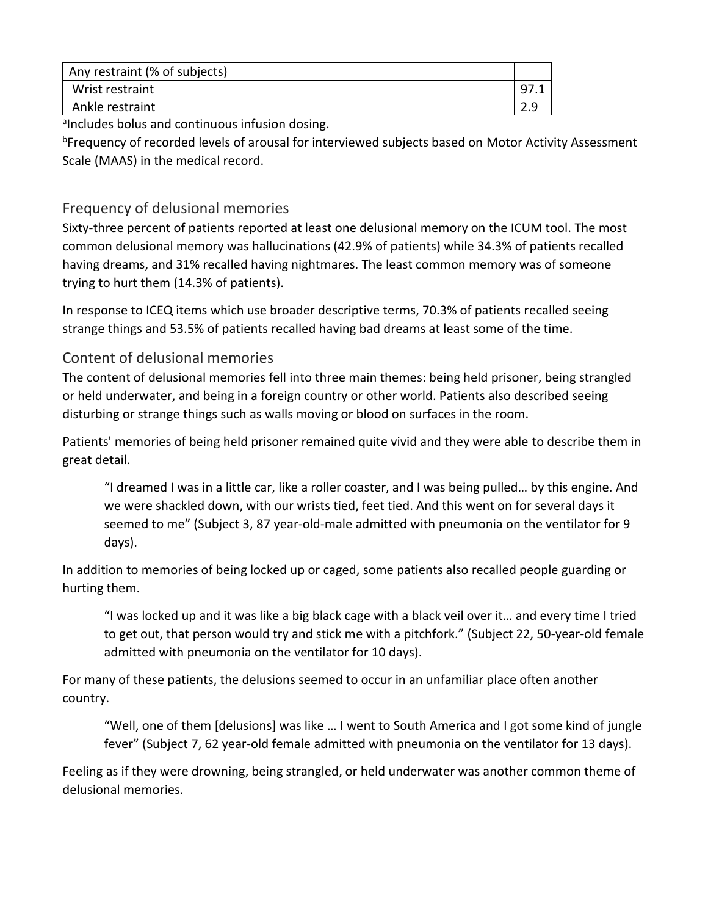| Any restraint (% of subjects) |            |
|-------------------------------|------------|
| Wrist restraint               |            |
| Ankle restraint               | <u>ാ വ</u> |

alncludes bolus and continuous infusion dosing.

**bFrequency of recorded levels of arousal for interviewed subjects based on Motor Activity Assessment** Scale (MAAS) in the medical record.

#### Frequency of delusional memories

Sixty-three percent of patients reported at least one delusional memory on the ICUM tool. The most common delusional memory was hallucinations (42.9% of patients) while 34.3% of patients recalled having dreams, and 31% recalled having nightmares. The least common memory was of someone trying to hurt them (14.3% of patients).

In response to ICEQ items which use broader descriptive terms, 70.3% of patients recalled seeing strange things and 53.5% of patients recalled having bad dreams at least some of the time.

#### Content of delusional memories

The content of delusional memories fell into three main themes: being held prisoner, being strangled or held underwater, and being in a foreign country or other world. Patients also described seeing disturbing or strange things such as walls moving or blood on surfaces in the room.

Patients' memories of being held prisoner remained quite vivid and they were able to describe them in great detail.

"I dreamed I was in a little car, like a roller coaster, and I was being pulled… by this engine. And we were shackled down, with our wrists tied, feet tied. And this went on for several days it seemed to me" (Subject 3, 87 year-old-male admitted with pneumonia on the ventilator for 9 days).

In addition to memories of being locked up or caged, some patients also recalled people guarding or hurting them.

"I was locked up and it was like a big black cage with a black veil over it… and every time I tried to get out, that person would try and stick me with a pitchfork." (Subject 22, 50-year-old female admitted with pneumonia on the ventilator for 10 days).

For many of these patients, the delusions seemed to occur in an unfamiliar place often another country.

"Well, one of them [delusions] was like … I went to South America and I got some kind of jungle fever" (Subject 7, 62 year-old female admitted with pneumonia on the ventilator for 13 days).

Feeling as if they were drowning, being strangled, or held underwater was another common theme of delusional memories.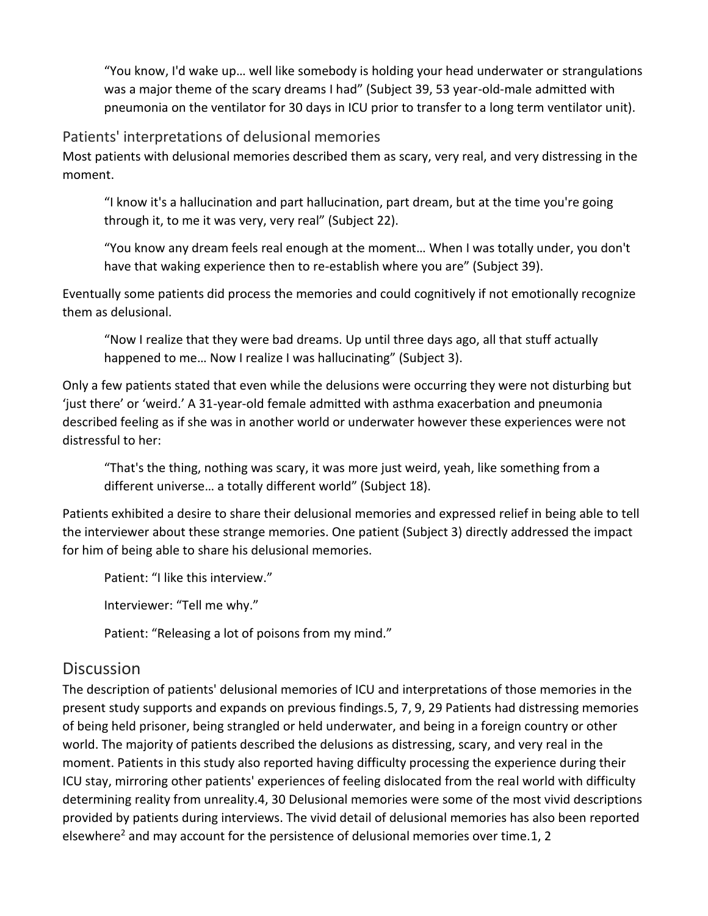"You know, I'd wake up… well like somebody is holding your head underwater or strangulations was a major theme of the scary dreams I had" (Subject 39, 53 year-old-male admitted with pneumonia on the ventilator for 30 days in ICU prior to transfer to a long term ventilator unit).

#### Patients' interpretations of delusional memories

Most patients with delusional memories described them as scary, very real, and very distressing in the moment.

"I know it's a hallucination and part hallucination, part dream, but at the time you're going through it, to me it was very, very real" (Subject 22).

"You know any dream feels real enough at the moment… When I was totally under, you don't have that waking experience then to re-establish where you are" (Subject 39).

Eventually some patients did process the memories and could cognitively if not emotionally recognize them as delusional.

"Now I realize that they were bad dreams. Up until three days ago, all that stuff actually happened to me... Now I realize I was hallucinating" (Subject 3).

Only a few patients stated that even while the delusions were occurring they were not disturbing but 'just there' or 'weird.' A 31-year-old female admitted with asthma exacerbation and pneumonia described feeling as if she was in another world or underwater however these experiences were not distressful to her:

"That's the thing, nothing was scary, it was more just weird, yeah, like something from a different universe… a totally different world" (Subject 18).

Patients exhibited a desire to share their delusional memories and expressed relief in being able to tell the interviewer about these strange memories. One patient (Subject 3) directly addressed the impact for him of being able to share his delusional memories.

Patient: "I like this interview."

Interviewer: "Tell me why."

Patient: "Releasing a lot of poisons from my mind."

### **Discussion**

The description of patients' delusional memories of ICU and interpretations of those memories in the present study supports and expands on previous findings.5, 7, 9, 29 Patients had distressing memories of being held prisoner, being strangled or held underwater, and being in a foreign country or other world. The majority of patients described the delusions as distressing, scary, and very real in the moment. Patients in this study also reported having difficulty processing the experience during their ICU stay, mirroring other patients' experiences of feeling dislocated from the real world with difficulty determining reality from unreality.4, 30 Delusional memories were some of the most vivid descriptions provided by patients during interviews. The vivid detail of delusional memories has also been reported elsewhere<sup>2</sup> and may account for the persistence of delusional memories over time.1, 2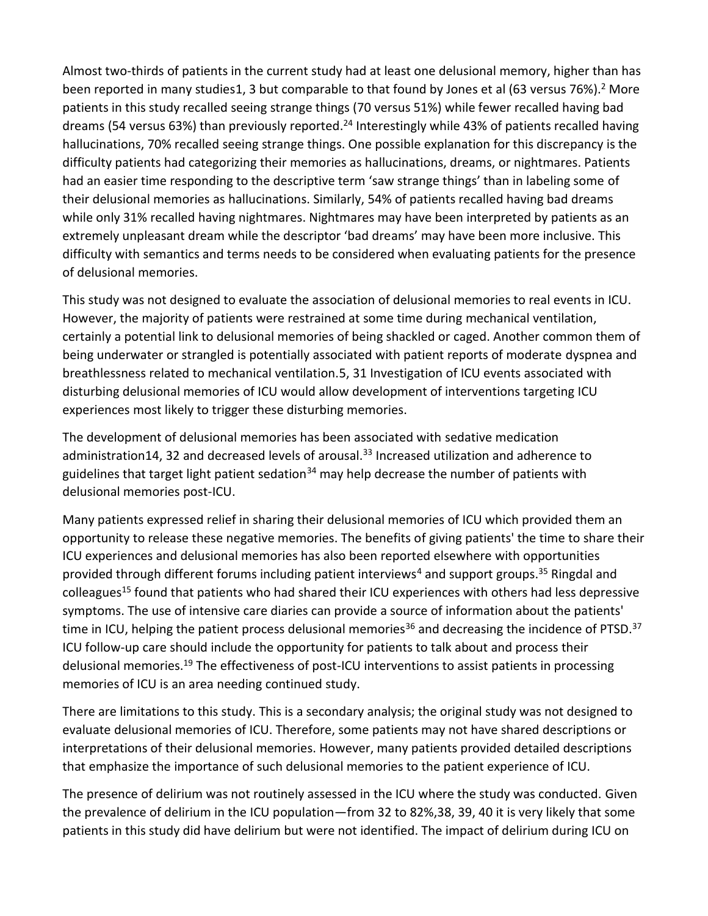Almost two-thirds of patients in the current study had at least one delusional memory, higher than has been reported in many studies1, 3 but comparable to that found by Jones et al (63 versus 76%).<sup>2</sup> More patients in this study recalled seeing strange things (70 versus 51%) while fewer recalled having bad dreams (54 versus 63%) than previously reported.<sup>24</sup> Interestingly while 43% of patients recalled having hallucinations, 70% recalled seeing strange things. One possible explanation for this discrepancy is the difficulty patients had categorizing their memories as hallucinations, dreams, or nightmares. Patients had an easier time responding to the descriptive term 'saw strange things' than in labeling some of their delusional memories as hallucinations. Similarly, 54% of patients recalled having bad dreams while only 31% recalled having nightmares. Nightmares may have been interpreted by patients as an extremely unpleasant dream while the descriptor 'bad dreams' may have been more inclusive. This difficulty with semantics and terms needs to be considered when evaluating patients for the presence of delusional memories.

This study was not designed to evaluate the association of delusional memories to real events in ICU. However, the majority of patients were restrained at some time during mechanical ventilation, certainly a potential link to delusional memories of being shackled or caged. Another common them of being underwater or strangled is potentially associated with patient reports of moderate dyspnea and breathlessness related to mechanical ventilation.5, 31 Investigation of ICU events associated with disturbing delusional memories of ICU would allow development of interventions targeting ICU experiences most likely to trigger these disturbing memories.

The development of delusional memories has been associated with sedative medication administration14, 32 and decreased levels of arousal.<sup>33</sup> Increased utilization and adherence to guidelines that target light patient sedation<sup>34</sup> may help decrease the number of patients with delusional memories post-ICU.

Many patients expressed relief in sharing their delusional memories of ICU which provided them an opportunity to release these negative memories. The benefits of giving patients' the time to share their ICU experiences and delusional memories has also been reported elsewhere with opportunities provided through different forums including patient interviews<sup>4</sup> and support groups.<sup>35</sup> Ringdal and colleagues<sup>15</sup> found that patients who had shared their ICU experiences with others had less depressive symptoms. The use of intensive care diaries can provide a source of information about the patients' time in ICU, helping the patient process delusional memories<sup>36</sup> and decreasing the incidence of PTSD.<sup>37</sup> ICU follow-up care should include the opportunity for patients to talk about and process their delusional memories.<sup>19</sup> The effectiveness of post-ICU interventions to assist patients in processing memories of ICU is an area needing continued study.

There are limitations to this study. This is a secondary analysis; the original study was not designed to evaluate delusional memories of ICU. Therefore, some patients may not have shared descriptions or interpretations of their delusional memories. However, many patients provided detailed descriptions that emphasize the importance of such delusional memories to the patient experience of ICU.

The presence of delirium was not routinely assessed in the ICU where the study was conducted. Given the prevalence of delirium in the ICU population—from 32 to 82%,38, 39, 40 it is very likely that some patients in this study did have delirium but were not identified. The impact of delirium during ICU on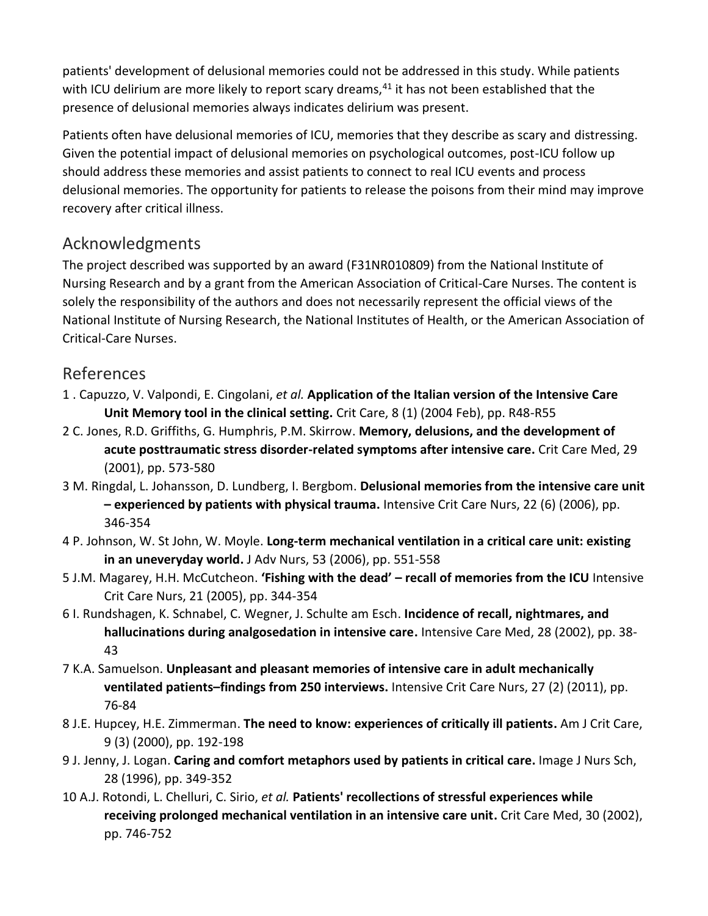patients' development of delusional memories could not be addressed in this study. While patients with ICU delirium are more likely to report scary dreams, $41$  it has not been established that the presence of delusional memories always indicates delirium was present.

Patients often have delusional memories of ICU, memories that they describe as scary and distressing. Given the potential impact of delusional memories on psychological outcomes, post-ICU follow up should address these memories and assist patients to connect to real ICU events and process delusional memories. The opportunity for patients to release the poisons from their mind may improve recovery after critical illness.

# Acknowledgments

The project described was supported by an award (F31NR010809) from the National Institute of Nursing Research and by a grant from the American Association of Critical-Care Nurses. The content is solely the responsibility of the authors and does not necessarily represent the official views of the National Institute of Nursing Research, the National Institutes of Health, or the American Association of Critical-Care Nurses.

# References

- 1 . Capuzzo, V. Valpondi, E. Cingolani, *et al.* **Application of the Italian version of the Intensive Care Unit Memory tool in the clinical setting.** Crit Care, 8 (1) (2004 Feb), pp. R48-R55
- 2 C. Jones, R.D. Griffiths, G. Humphris, P.M. Skirrow. **Memory, delusions, and the development of acute posttraumatic stress disorder-related symptoms after intensive care.** Crit Care Med, 29 (2001), pp. 573-580
- 3 M. Ringdal, L. Johansson, D. Lundberg, I. Bergbom. **Delusional memories from the intensive care unit – experienced by patients with physical trauma.** Intensive Crit Care Nurs, 22 (6) (2006), pp. 346-354
- 4 P. Johnson, W. St John, W. Moyle. **Long-term mechanical ventilation in a critical care unit: existing in an uneveryday world.** J Adv Nurs, 53 (2006), pp. 551-558
- 5 J.M. Magarey, H.H. McCutcheon. **'Fishing with the dead' – recall of memories from the ICU** Intensive Crit Care Nurs, 21 (2005), pp. 344-354
- 6 I. Rundshagen, K. Schnabel, C. Wegner, J. Schulte am Esch. **Incidence of recall, nightmares, and hallucinations during analgosedation in intensive care.** Intensive Care Med, 28 (2002), pp. 38- 43
- 7 K.A. Samuelson. **Unpleasant and pleasant memories of intensive care in adult mechanically ventilated patients–findings from 250 interviews.** Intensive Crit Care Nurs, 27 (2) (2011), pp. 76-84
- 8 J.E. Hupcey, H.E. Zimmerman. **The need to know: experiences of critically ill patients.** Am J Crit Care, 9 (3) (2000), pp. 192-198
- 9 J. Jenny, J. Logan. **Caring and comfort metaphors used by patients in critical care.** Image J Nurs Sch, 28 (1996), pp. 349-352
- 10 A.J. Rotondi, L. Chelluri, C. Sirio, *et al.* **Patients' recollections of stressful experiences while receiving prolonged mechanical ventilation in an intensive care unit.** Crit Care Med, 30 (2002), pp. 746-752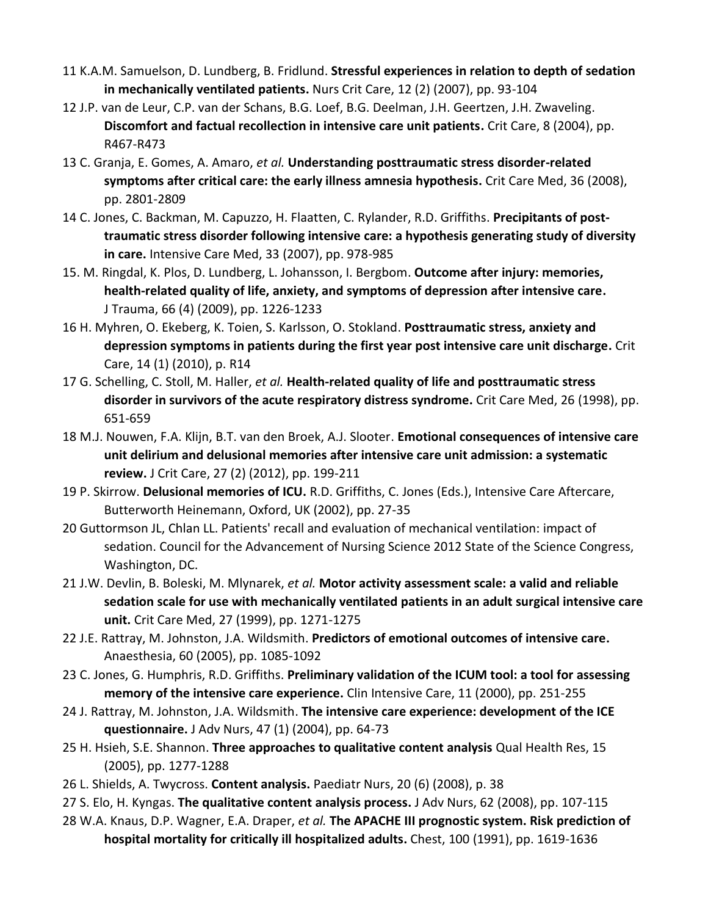- 11 K.A.M. Samuelson, D. Lundberg, B. Fridlund. **Stressful experiences in relation to depth of sedation in mechanically ventilated patients.** Nurs Crit Care, 12 (2) (2007), pp. 93-104
- 12 J.P. van de Leur, C.P. van der Schans, B.G. Loef, B.G. Deelman, J.H. Geertzen, J.H. Zwaveling. **Discomfort and factual recollection in intensive care unit patients.** Crit Care, 8 (2004), pp. R467-R473
- 13 C. Granja, E. Gomes, A. Amaro, *et al.* **Understanding posttraumatic stress disorder-related symptoms after critical care: the early illness amnesia hypothesis.** Crit Care Med, 36 (2008), pp. 2801-2809
- 14 C. Jones, C. Backman, M. Capuzzo, H. Flaatten, C. Rylander, R.D. Griffiths. **Precipitants of posttraumatic stress disorder following intensive care: a hypothesis generating study of diversity in care.** Intensive Care Med, 33 (2007), pp. 978-985
- 15. M. Ringdal, K. Plos, D. Lundberg, L. Johansson, I. Bergbom. **Outcome after injury: memories, health-related quality of life, anxiety, and symptoms of depression after intensive care.**  J Trauma, 66 (4) (2009), pp. 1226-1233
- 16 H. Myhren, O. Ekeberg, K. Toien, S. Karlsson, O. Stokland. **Posttraumatic stress, anxiety and depression symptoms in patients during the first year post intensive care unit discharge.** Crit Care, 14 (1) (2010), p. R14
- 17 G. Schelling, C. Stoll, M. Haller, *et al.* **Health-related quality of life and posttraumatic stress disorder in survivors of the acute respiratory distress syndrome.** Crit Care Med, 26 (1998), pp. 651-659
- 18 M.J. Nouwen, F.A. Klijn, B.T. van den Broek, A.J. Slooter. **Emotional consequences of intensive care unit delirium and delusional memories after intensive care unit admission: a systematic review.** J Crit Care, 27 (2) (2012), pp. 199-211
- 19 P. Skirrow. **Delusional memories of ICU.** R.D. Griffiths, C. Jones (Eds.), Intensive Care Aftercare, Butterworth Heinemann, Oxford, UK (2002), pp. 27-35
- 20 Guttormson JL, Chlan LL. Patients' recall and evaluation of mechanical ventilation: impact of sedation. Council for the Advancement of Nursing Science 2012 State of the Science Congress, Washington, DC.
- 21 J.W. Devlin, B. Boleski, M. Mlynarek, *et al.* **Motor activity assessment scale: a valid and reliable sedation scale for use with mechanically ventilated patients in an adult surgical intensive care unit.** Crit Care Med, 27 (1999), pp. 1271-1275
- 22 J.E. Rattray, M. Johnston, J.A. Wildsmith. **Predictors of emotional outcomes of intensive care.**  Anaesthesia, 60 (2005), pp. 1085-1092
- 23 C. Jones, G. Humphris, R.D. Griffiths. **Preliminary validation of the ICUM tool: a tool for assessing memory of the intensive care experience.** Clin Intensive Care, 11 (2000), pp. 251-255
- 24 J. Rattray, M. Johnston, J.A. Wildsmith. **The intensive care experience: development of the ICE questionnaire.** J Adv Nurs, 47 (1) (2004), pp. 64-73
- 25 H. Hsieh, S.E. Shannon. **Three approaches to qualitative content analysis** Qual Health Res, 15 (2005), pp. 1277-1288
- 26 L. Shields, A. Twycross. **Content analysis.** Paediatr Nurs, 20 (6) (2008), p. 38
- 27 S. Elo, H. Kyngas. **The qualitative content analysis process.** J Adv Nurs, 62 (2008), pp. 107-115
- 28 W.A. Knaus, D.P. Wagner, E.A. Draper, *et al.* **The APACHE III prognostic system. Risk prediction of hospital mortality for critically ill hospitalized adults.** Chest, 100 (1991), pp. 1619-1636